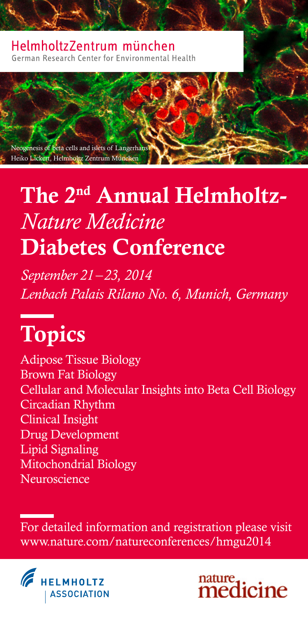#### Helmholtz7entrum münchen German Research Center for Environmental Health

Neogenesis of beta cells and islets of Langerhans Heiko Lickert, Helmholtz Zentrum München

# The 2nd Annual Helmholtz-*Nature Medicine* Diabetes Conference

*September 21–23, 2014 Lenbach Palais Rilano No. 6, Munich, Germany*

# Topics

Adipose Tissue Biology Brown Fat Biology Cellular and Molecular Insights into Beta Cell Biology Circadian Rhythm Clinical Insight Drug Development Lipid Signaling Mitochondrial Biology Neuroscience

For detailed information and registration please visit www.nature.com/natureconferences/hmgu2014